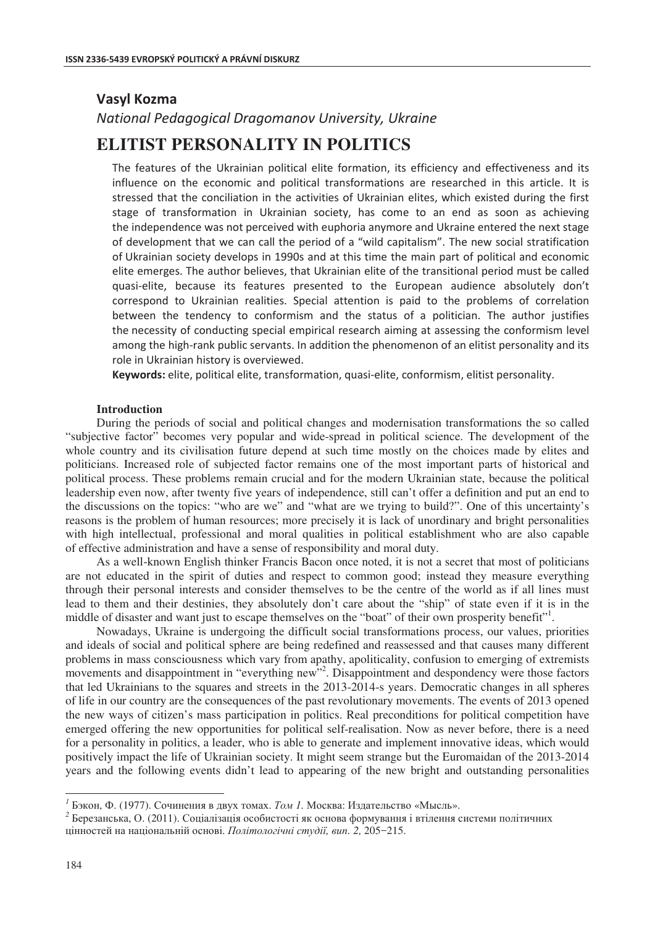## **Vasyl Kozma**

## *National Pedagogical Dragomanov University, Ukraine*

# **ELITIST PERSONALITY IN POLITICS**

The features of the Ukrainian political elite formation, its efficiency and effectiveness and its influence on the economic and political transformations are researched in this article. It is stressed that the conciliation in the activities of Ukrainian elites, which existed during the first stage of transformation in Ukrainian society, has come to an end as soon as achieving the independence was not perceived with euphoria anymore and Ukraine entered the next stage of development that we can call the period of a "wild capitalism". The new social stratification of Ukrainian society develops in 1990s and at this time the main part of political and economic elite emerges. The author believes, that Ukrainian elite of the transitional period must be called quasi-elite, because its features presented to the European audience absolutely don't correspond to Ukrainian realities. Special attention is paid to the problems of correlation between the tendency to conformism and the status of a politician. The author justifies the necessity of conducting special empirical research aiming at assessing the conformism level among the high-rank public servants. In addition the phenomenon of an elitist personality and its role in Ukrainian history is overviewed.

Keywords: elite, political elite, transformation, quasi-elite, conformism, elitist personality.

### **Introduction**

During the periods of social and political changes and modernisation transformations the so called "subjective factor" becomes very popular and wide-spread in political science. The development of the whole country and its civilisation future depend at such time mostly on the choices made by elites and politicians. Increased role of subjected factor remains one of the most important parts of historical and political process. These problems remain crucial and for the modern Ukrainian state, because the political leadership even now, after twenty five years of independence, still can't offer a definition and put an end to the discussions on the topics: "who are we" and "what are we trying to build?". One of this uncertainty's reasons is the problem of human resources; more precisely it is lack of unordinary and bright personalities with high intellectual, professional and moral qualities in political establishment who are also capable of effective administration and have a sense of responsibility and moral duty.

As a well-known English thinker Francis Bacon once noted, it is not a secret that most of politicians are not educated in the spirit of duties and respect to common good; instead they measure everything through their personal interests and consider themselves to be the centre of the world as if all lines must lead to them and their destinies, they absolutely don't care about the "ship" of state even if it is in the middle of disaster and want just to escape themselves on the "boat" of their own prosperity benefit".

Nowadays, Ukraine is undergoing the difficult social transformations process, our values, priorities and ideals of social and political sphere are being redefined and reassessed and that causes many different problems in mass consciousness which vary from apathy, apoliticality, confusion to emerging of extremists movements and disappointment in "everything new"<sup>2</sup>. Disappointment and despondency were those factors that led Ukrainians to the squares and streets in the 2013-2014-s years. Democratic changes in all spheres of life in our country are the consequences of the past revolutionary movements. The events of 2013 opened the new ways of citizen's mass participation in politics. Real preconditions for political competition have emerged offering the new opportunities for political self-realisation. Now as never before, there is a need for a personality in politics, a leader, who is able to generate and implement innovative ideas, which would positively impact the life of Ukrainian society. It might seem strange but the Euromaidan of the 2013-2014 years and the following events didn't lead to appearing of the new bright and outstanding personalities

<sup>&</sup>lt;sup>1</sup> Бэкон. Ф. (1977). Сочинения в двух томах. Том 1. Москва: Издательство «Мысль».

<sup>&</sup>lt;sup>2</sup> Березанська, О. (2011). Соціалізація особистості як основа формування і втілення системи політичних ɰɿɧɧɨɫɬɟɣ ɧɚ ɧɚɰɿɨɧɚɥɶɧɿɣ ɨɫɧɨɜɿ. *ɉɨɥɿɬɨɥɨɝɿɱɧɿ ɫɬɭɞɿʀ, ɜɢɩ. 2,* 205−215.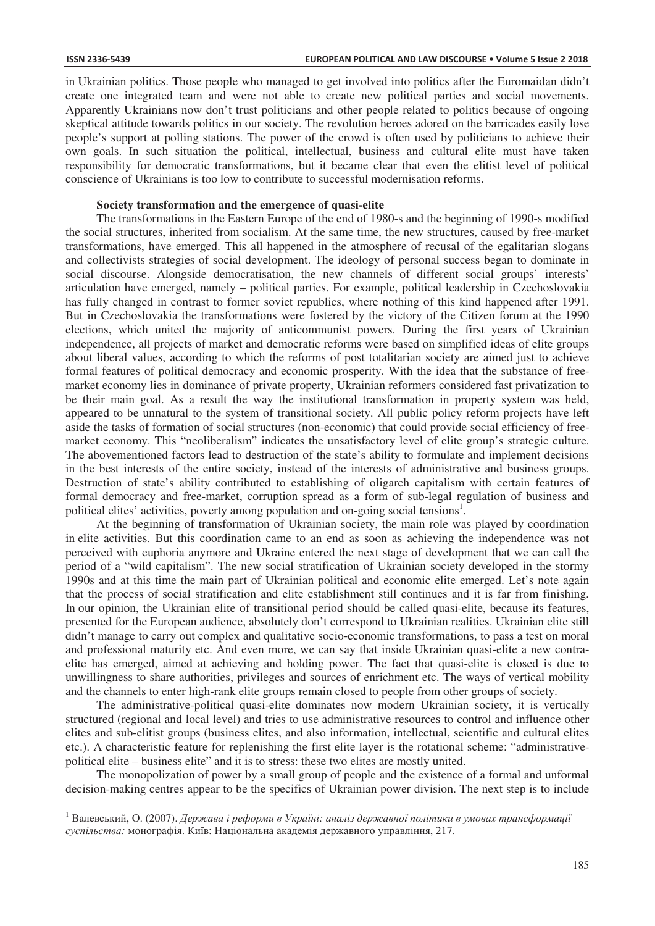$\overline{a}$ 

in Ukrainian politics. Those people who managed to get involved into politics after the Euromaidan didn't create one integrated team and were not able to create new political parties and social movements. Apparently Ukrainians now don't trust politicians and other people related to politics because of ongoing skeptical attitude towards politics in our society. The revolution heroes adored on the barricades easily lose people's support at polling stations. The power of the crowd is often used by politicians to achieve their own goals. In such situation the political, intellectual, business and cultural elite must have taken responsibility for democratic transformations, but it became clear that even the elitist level of political conscience of Ukrainians is too low to contribute to successful modernisation reforms.

#### **Society transformation and the emergence of quasi-elite**

The transformations in the Eastern Europe of the end of 1980-s and the beginning of 1990-s modified the social structures, inherited from socialism. At the same time, the new structures, caused by free-market transformations, have emerged. This all happened in the atmosphere of recusal of the egalitarian slogans and collectivists strategies of social development. The ideology of personal success began to dominate in social discourse. Alongside democratisation, the new channels of different social groups' interests' articulation have emerged, namely – political parties. For example, political leadership in Czechoslovakia has fully changed in contrast to former soviet republics, where nothing of this kind happened after 1991. But in Czechoslovakia the transformations were fostered by the victory of the Citizen forum at the 1990 elections, which united the majority of anticommunist powers. During the first years of Ukrainian independence, all projects of market and democratic reforms were based on simplified ideas of elite groups about liberal values, according to which the reforms of post totalitarian society are aimed just to achieve formal features of political democracy and economic prosperity. With the idea that the substance of freemarket economy lies in dominance of private property, Ukrainian reformers considered fast privatization to be their main goal. As a result the way the institutional transformation in property system was held, appeared to be unnatural to the system of transitional society. All public policy reform projects have left aside the tasks of formation of social structures (non-economic) that could provide social efficiency of freemarket economy. This "neoliberalism" indicates the unsatisfactory level of elite group's strategic culture. The abovementioned factors lead to destruction of the state's ability to formulate and implement decisions in the best interests of the entire society, instead of the interests of administrative and business groups. Destruction of state's ability contributed to establishing of oligarch capitalism with certain features of formal democracy and free-market, corruption spread as a form of sub-legal regulation of business and political elites' activities, poverty among population and on-going social tensions<sup>1</sup>.

At the beginning of transformation of Ukrainian society, the main role was played by coordination in elite activities. But this coordination came to an end as soon as achieving the independence was not perceived with euphoria anymore and Ukraine entered the next stage of development that we can call the period of a "wild capitalism". The new social stratification of Ukrainian society developed in the stormy 1990s and at this time the main part of Ukrainian political and economic elite emerged. Let's note again that the process of social stratification and elite establishment still continues and it is far from finishing. In our opinion, the Ukrainian elite of transitional period should be called quasi-elite, because its features, presented for the European audience, absolutely don't correspond to Ukrainian realities. Ukrainian elite still didn't manage to carry out complex and qualitative socio-economic transformations, to pass a test on moral and professional maturity etc. And even more, we can say that inside Ukrainian quasi-elite a new contraelite has emerged, aimed at achieving and holding power. The fact that quasi-elite is closed is due to unwillingness to share authorities, privileges and sources of enrichment etc. The ways of vertical mobility and the channels to enter high-rank elite groups remain closed to people from other groups of society.

The administrative-political quasi-elite dominates now modern Ukrainian society, it is vertically structured (regional and local level) and tries to use administrative resources to control and influence other elites and sub-elitist groups (business elites, and also information, intellectual, scientific and cultural elites etc.). A characteristic feature for replenishing the first elite layer is the rotational scheme: "administrativepolitical elite – business elite" and it is to stress: these two elites are mostly united.

The monopolization of power by a small group of people and the existence of a formal and unformal decision-making centres appear to be the specifics of Ukrainian power division. The next step is to include

<sup>&</sup>lt;sup>1</sup> Валевський, О. (2007). *Держава і реформи в Україні: аналіз державної політики в умовах трансформації* суспільства: монографія. Київ: Національна академія державного управління, 217.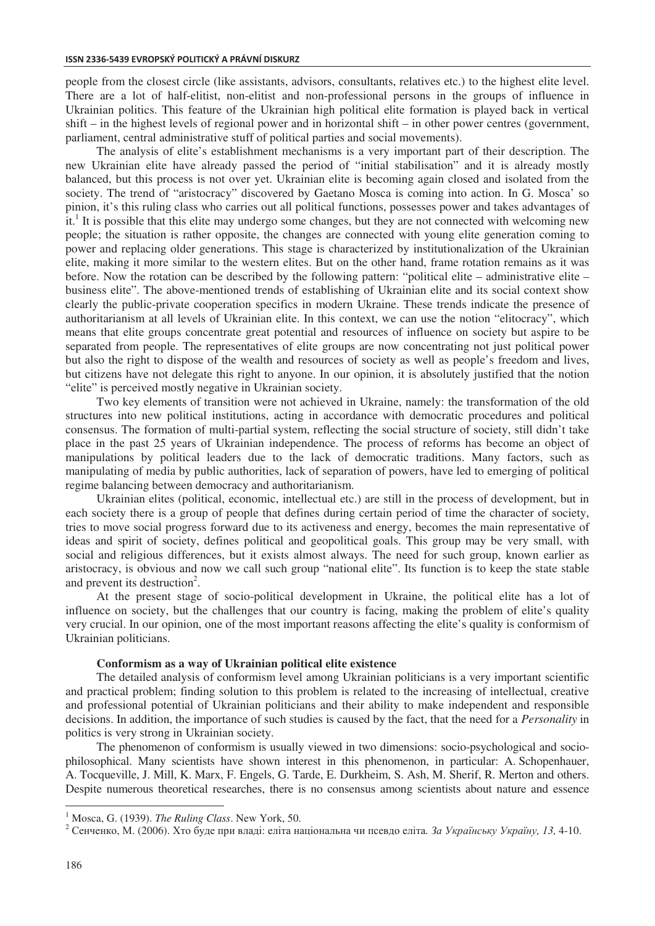people from the closest circle (like assistants, advisors, consultants, relatives etc.) to the highest elite level. There are a lot of half-elitist, non-elitist and non-professional persons in the groups of influence in Ukrainian politics. This feature of the Ukrainian high political elite formation is played back in vertical shift – in the highest levels of regional power and in horizontal shift – in other power centres (government, parliament, central administrative stuff of political parties and social movements).

The analysis of elite's establishment mechanisms is a very important part of their description. The new Ukrainian elite have already passed the period of "initial stabilisation" and it is already mostly balanced, but this process is not over yet. Ukrainian elite is becoming again closed and isolated from the society. The trend of "aristocracy" discovered by Gaetano Mosca is coming into action. In G. Mosca' so pinion, it's this ruling class who carries out all political functions, possesses power and takes advantages of it.<sup>1</sup> It is possible that this elite may undergo some changes, but they are not connected with welcoming new people; the situation is rather opposite, the changes are connected with young elite generation coming to power and replacing older generations. This stage is characterized by institutionalization of the Ukrainian elite, making it more similar to the western elites. But on the other hand, frame rotation remains as it was before. Now the rotation can be described by the following pattern: "political elite – administrative elite – business elite". The above-mentioned trends of establishing of Ukrainian elite and its social context show clearly the public-private cooperation specifics in modern Ukraine. These trends indicate the presence of authoritarianism at all levels of Ukrainian elite. In this context, we can use the notion "elitocracy", which means that elite groups concentrate great potential and resources of influence on society but aspire to be separated from people. The representatives of elite groups are now concentrating not just political power but also the right to dispose of the wealth and resources of society as well as people's freedom and lives, but citizens have not delegate this right to anyone. In our opinion, it is absolutely justified that the notion "elite" is perceived mostly negative in Ukrainian society.

Two key elements of transition were not achieved in Ukraine, namely: the transformation of the old structures into new political institutions, acting in accordance with democratic procedures and political consensus. The formation of multi-partial system, reflecting the social structure of society, still didn't take place in the past 25 years of Ukrainian independence. The process of reforms has become an object of manipulations by political leaders due to the lack of democratic traditions. Many factors, such as manipulating of media by public authorities, lack of separation of powers, have led to emerging of political regime balancing between democracy and authoritarianism.

Ukrainian elites (political, economic, intellectual etc.) are still in the process of development, but in each society there is a group of people that defines during certain period of time the character of society, tries to move social progress forward due to its activeness and energy, becomes the main representative of ideas and spirit of society, defines political and geopolitical goals. This group may be very small, with social and religious differences, but it exists almost always. The need for such group, known earlier as aristocracy, is obvious and now we call such group "national elite". Its function is to keep the state stable and prevent its destruction<sup>2</sup>.

At the present stage of socio-political development in Ukraine, the political elite has a lot of influence on society, but the challenges that our country is facing, making the problem of elite's quality very crucial. In our opinion, one of the most important reasons affecting the elite's quality is conformism of Ukrainian politicians.

#### **Conformism as a way of Ukrainian political elite existence**

The detailed analysis of conformism level among Ukrainian politicians is a very important scientific and practical problem; finding solution to this problem is related to the increasing of intellectual, creative and professional potential of Ukrainian politicians and their ability to make independent and responsible decisions. In addition, the importance of such studies is caused by the fact, that the need for a *Personality* in politics is very strong in Ukrainian society.

The phenomenon of conformism is usually viewed in two dimensions: socio-psychological and sociophilosophical. Many scientists have shown interest in this phenomenon, in particular: A. Schopenhauer, A. Tocqueville, J. Mill, K. Marx, F. Engels, G. Tarde, E. Durkheim, S. Ash, M. Sherif, R. Merton and others. Despite numerous theoretical researches, there is no consensus among scientists about nature and essence

 $\overline{a}$ 

<sup>&</sup>lt;sup>1</sup> Mosca, G. (1939). The Ruling Class. New York, 50.

<sup>&</sup>lt;sup>2</sup> Сенченко, М. (2006). Хто буде при владі: еліта національна чи псевдо еліта. За Українську Україну, 13, 4-10.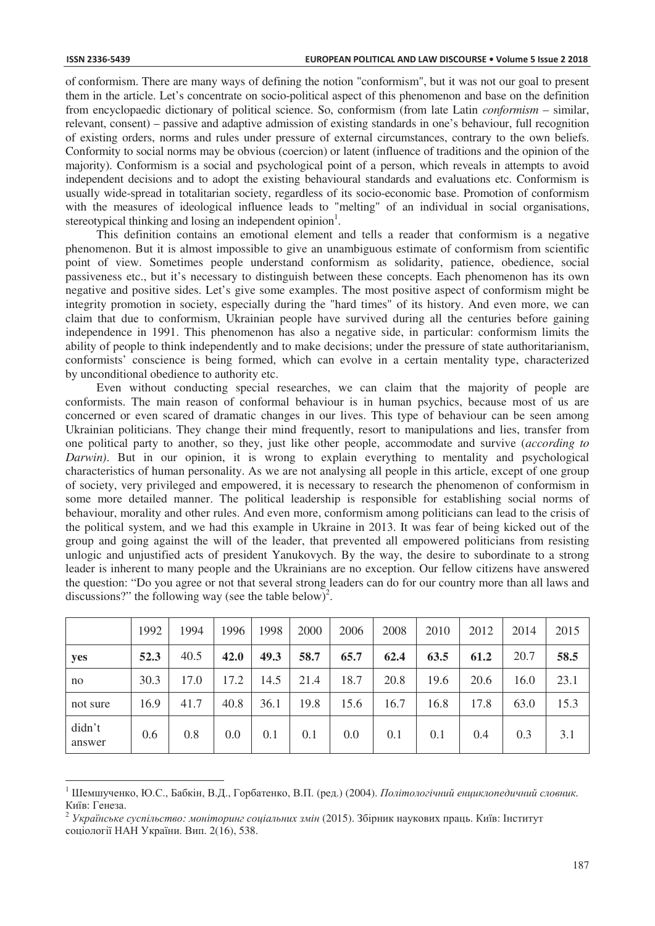$\overline{a}$ 

of conformism. There are many ways of defining the notion "conformism", but it was not our goal to present them in the article. Let's concentrate on socio-political aspect of this phenomenon and base on the definition from encyclopaedic dictionary of political science. So, conformism (from late Latin *conformism –* similar, relevant, consent) – passive and adaptive admission of existing standards in one's behaviour, full recognition of existing orders, norms and rules under pressure of external circumstances, contrary to the own beliefs. Conformity to social norms may be obvious (coercion) or latent (influence of traditions and the opinion of the majority). Conformism is a social and psychological point of a person, which reveals in attempts to avoid independent decisions and to adopt the existing behavioural standards and evaluations etc. Conformism is usually wide-spread in totalitarian society, regardless of its socio-economic base. Promotion of conformism with the measures of ideological influence leads to "melting" of an individual in social organisations, stereotypical thinking and losing an independent opinion<sup>1</sup>.

This definition contains an emotional element and tells a reader that conformism is a negative phenomenon. But it is almost impossible to give an unambiguous estimate of conformism from scientific point of view. Sometimes people understand conformism as solidarity, patience, obedience, social passiveness etc., but it's necessary to distinguish between these concepts. Each phenomenon has its own negative and positive sides. Let's give some examples. The most positive aspect of conformism might be integrity promotion in society, especially during the "hard times" of its history. And even more, we can claim that due to conformism, Ukrainian people have survived during all the centuries before gaining independence in 1991. This phenomenon has also a negative side, in particular: conformism limits the ability of people to think independently and to make decisions; under the pressure of state authoritarianism, conformists' conscience is being formed, which can evolve in a certain mentality type, characterized by unconditional obedience to authority etc.

Even without conducting special researches, we can claim that the majority of people are conformists. The main reason of conformal behaviour is in human psychics, because most of us are concerned or even scared of dramatic changes in our lives. This type of behaviour can be seen among Ukrainian politicians. They change their mind frequently, resort to manipulations and lies, transfer from one political party to another, so they, just like other people, accommodate and survive (*according to Darwin)*. But in our opinion, it is wrong to explain everything to mentality and psychological characteristics of human personality. As we are not analysing all people in this article, except of one group of society, very privileged and empowered, it is necessary to research the phenomenon of conformism in some more detailed manner. The political leadership is responsible for establishing social norms of behaviour, morality and other rules. And even more, conformism among politicians can lead to the crisis of the political system, and we had this example in Ukraine in 2013. It was fear of being kicked out of the group and going against the will of the leader, that prevented all empowered politicians from resisting unlogic and unjustified acts of president Yanukovych. By the way, the desire to subordinate to a strong leader is inherent to many people and the Ukrainians are no exception. Our fellow citizens have answered the question: "Do you agree or not that several strong leaders can do for our country more than all laws and discussions?" the following way (see the table below)<sup>2</sup>.

|                  | 1992 | 1994 | 1996 | 1998 | 2000 | 2006 | 2008 | 2010 | 2012 | 2014 | 2015 |
|------------------|------|------|------|------|------|------|------|------|------|------|------|
| yes              | 52.3 | 40.5 | 42.0 | 49.3 | 58.7 | 65.7 | 62.4 | 63.5 | 61.2 | 20.7 | 58.5 |
| no               | 30.3 | 17.0 | 17.2 | 14.5 | 21.4 | 18.7 | 20.8 | 19.6 | 20.6 | 16.0 | 23.1 |
| not sure         | 16.9 | 41.7 | 40.8 | 36.1 | 19.8 | 15.6 | 16.7 | 16.8 | 17.8 | 63.0 | 15.3 |
| didn't<br>answer | 0.6  | 0.8  | 0.0  | 0.1  | 0.1  | 0.0  | 0.1  | 0.1  | 0.4  | 0.3  | 3.1  |

<sup>&</sup>lt;sup>1</sup> Шемшученко, Ю.С., Бабкін, В.Д., Горбатенко, В.П. (ред.) (2004). *Політологічний енциклопедичний словник.* Київ: Генеза.<br><sup>2</sup> Українське суспільство: моніторинг соціальних змін (2015). Збірник наукових праць. Київ: Інститут

соціології НАН України. Вип. 2(16), 538.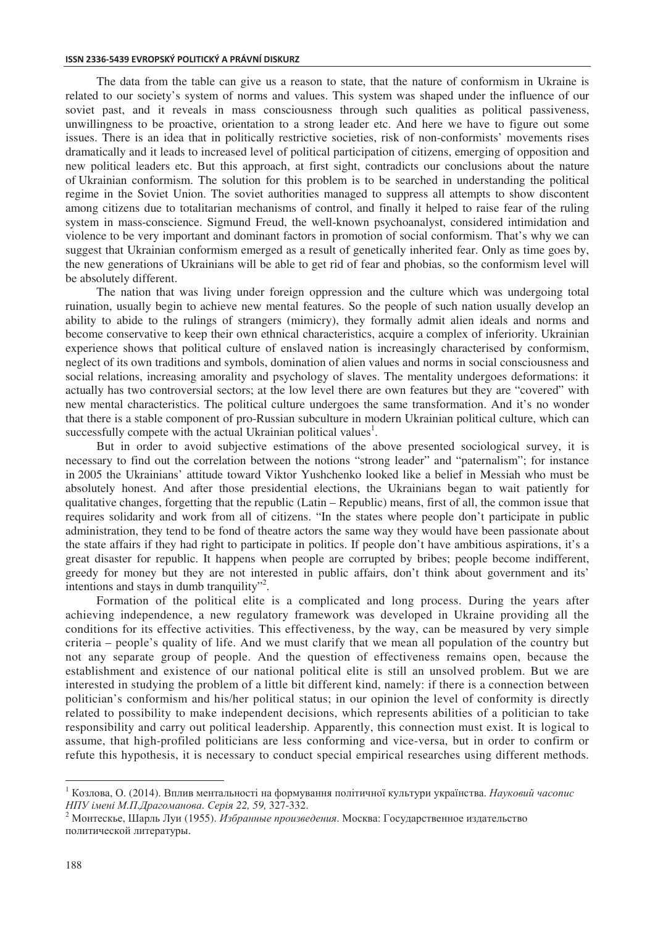#### **ISSN 2336-5439 EVROPSKÝ POLITICKÝ A PRÁVNÍ DISKURZ**

The data from the table can give us a reason to state, that the nature of conformism in Ukraine is related to our society's system of norms and values. This system was shaped under the influence of our soviet past, and it reveals in mass consciousness through such qualities as political passiveness, unwillingness to be proactive, orientation to a strong leader etc. And here we have to figure out some issues. There is an idea that in politically restrictive societies, risk of non-conformists' movements rises dramatically and it leads to increased level of political participation of citizens, emerging of opposition and new political leaders etc. But this approach, at first sight, contradicts our conclusions about the nature of Ukrainian conformism. The solution for this problem is to be searched in understanding the political regime in the Soviet Union. The soviet authorities managed to suppress all attempts to show discontent among citizens due to totalitarian mechanisms of control, and finally it helped to raise fear of the ruling system in mass-conscience. Sigmund Freud, the well-known psychoanalyst, considered intimidation and violence to be very important and dominant factors in promotion of social conformism. That's why we can suggest that Ukrainian conformism emerged as a result of genetically inherited fear. Only as time goes by, the new generations of Ukrainians will be able to get rid of fear and phobias, so the conformism level will be absolutely different.

The nation that was living under foreign oppression and the culture which was undergoing total ruination, usually begin to achieve new mental features. So the people of such nation usually develop an ability to abide to the rulings of strangers (mimicry), they formally admit alien ideals and norms and become conservative to keep their own ethnical characteristics, acquire a complex of inferiority. Ukrainian experience shows that political culture of enslaved nation is increasingly characterised by conformism, neglect of its own traditions and symbols, domination of alien values and norms in social consciousness and social relations, increasing amorality and psychology of slaves. The mentality undergoes deformations: it actually has two controversial sectors; at the low level there are own features but they are "covered" with new mental characteristics. The political culture undergoes the same transformation. And it's no wonder that there is a stable component of pro-Russian subculture in modern Ukrainian political culture, which can successfully compete with the actual Ukrainian political values<sup>1</sup>.

But in order to avoid subjective estimations of the above presented sociological survey, it is necessary to find out the correlation between the notions "strong leader" and "paternalism"; for instance in 2005 the Ukrainians' attitude toward Viktor Yushchenko looked like a belief in Messiah who must be absolutely honest. And after those presidential elections, the Ukrainians began to wait patiently for qualitative changes, forgetting that the republic (Latin – Republic) means, first of all, the common issue that requires solidarity and work from all of citizens. "In the states where people don't participate in public administration, they tend to be fond of theatre actors the same way they would have been passionate about the state affairs if they had right to participate in politics. If people don't have ambitious aspirations, it's a great disaster for republic. It happens when people are corrupted by bribes; people become indifferent, greedy for money but they are not interested in public affairs, don't think about government and its' intentions and stays in dumb tranquility"<sup>2</sup>.

Formation of the political elite is a complicated and long process. During the years after achieving independence, a new regulatory framework was developed in Ukraine providing all the conditions for its effective activities. This effectiveness, by the way, can be measured by very simple criteria – people's quality of life. And we must clarify that we mean all population of the country but not any separate group of people. And the question of effectiveness remains open, because the establishment and existence of our national political elite is still an unsolved problem. But we are interested in studying the problem of a little bit different kind, namely: if there is a connection between politician's conformism and his/her political status; in our opinion the level of conformity is directly related to possibility to make independent decisions, which represents abilities of a politician to take responsibility and carry out political leadership. Apparently, this connection must exist. It is logical to assume, that high-profiled politicians are less conforming and vice-versa, but in order to confirm or refute this hypothesis, it is necessary to conduct special empirical researches using different methods.

 $\overline{a}$ 

<sup>&</sup>lt;sup>1</sup> Козлова, О. (2014). Вплив ментальності на формування політичної культури українства. Науковий часопис НПУ імені М.П.Драгоманова. Серія 22, 59, 327-332.<br><sup>2</sup> Монтескье, Шарль Луи (1955). Избранные произведения. Москва: Государственное издательство

политической литературы.